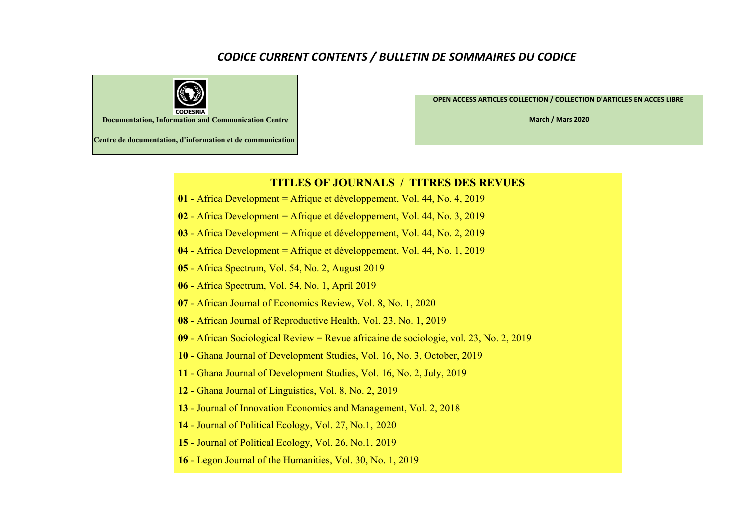## *CODICE CURRENT CONTENTS / BULLETIN DE SOMMAIRES DU CODICE*



**OPEN ACCESS ARTICLES COLLECTION / COLLECTION D'ARTICLES EN ACCES LIBRE** 

**March / Mars 2020**

**Centre de documentation, d'information et de communication**

## **TITLES OF JOURNALS / TITRES DES REVUES**

- Africa Development = Afrique et développement, Vol. 44, No. 4, 2019
- Africa Development = Afrique et développement, Vol. 44, No. 3, 2019
- Africa Development = Afrique et développement, Vol. 44, No. 2, 2019
- Africa Development = Afrique et développement, Vol. 44, No. 1, 2019
- Africa Spectrum, Vol. 54, No. 2, August 2019
- Africa Spectrum, Vol. 54, No. 1, April 2019
- African Journal of Economics Review, Vol. 8, No. 1, 2020
- African Journal of Reproductive Health, Vol. 23, No. 1, 2019
- African Sociological Review = Revue africaine de sociologie, vol. 23, No. 2, 2019
- Ghana Journal of Development Studies, Vol. 16, No. 3, October, 2019
- Ghana Journal of Development Studies, Vol. 16, No. 2, July, 2019
- Ghana Journal of Linguistics, Vol. 8, No. 2, 2019
- Journal of Innovation Economics and Management, Vol. 2, 2018
- Journal of Political Ecology, Vol. 27, No.1, 2020
- Journal of Political Ecology, Vol. 26, No.1, 2019
- Legon Journal of the Humanities, Vol. 30, No. 1, 2019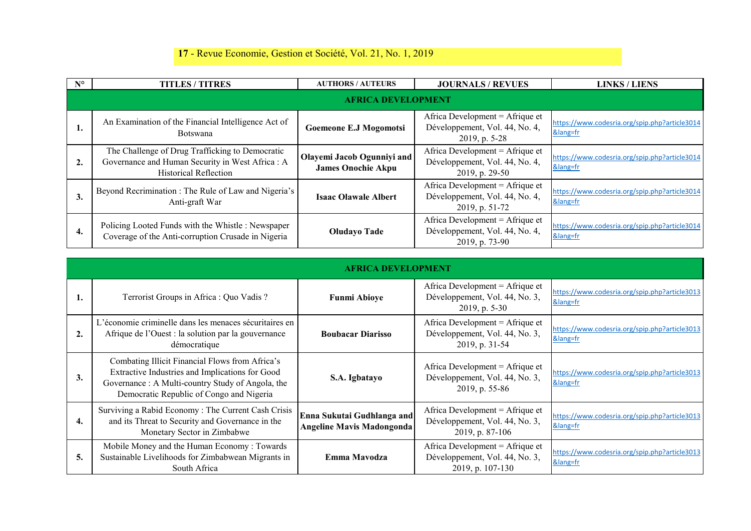## **17** - Revue Economie, Gestion et Société, Vol. 21, No. 1, 2019

| $N^{\circ}$ | <b>TITLES / TITRES</b>                                                                                                              | <b>AUTHORS / AUTEURS</b>                                | <b>JOURNALS / REVUES</b>                                                              | <b>LINKS / LIENS</b>                                  |  |  |
|-------------|-------------------------------------------------------------------------------------------------------------------------------------|---------------------------------------------------------|---------------------------------------------------------------------------------------|-------------------------------------------------------|--|--|
|             | <b>AFRICA DEVELOPMENT</b>                                                                                                           |                                                         |                                                                                       |                                                       |  |  |
| -1.         | An Examination of the Financial Intelligence Act of<br><b>Botswana</b>                                                              | Goemeone E.J Mogomotsi                                  | Africa Development = Afrique et<br>Développement, Vol. 44, No. 4,<br>$2019$ , p. 5-28 | https://www.codesria.org/spip.php?article3014<br>⟨=fr |  |  |
| 2.          | The Challenge of Drug Trafficking to Democratic<br>Governance and Human Security in West Africa : A<br><b>Historical Reflection</b> | Olayemi Jacob Ogunniyi and<br><b>James Onochie Akpu</b> | Africa Development = Afrique et<br>Développement, Vol. 44, No. 4,<br>2019, p. 29-50   | https://www.codesria.org/spip.php?article3014<br>⟨=fr |  |  |
| 3.          | Beyond Recrimination : The Rule of Law and Nigeria's<br>Anti-graft War                                                              | <b>Isaac Olawale Albert</b>                             | Africa Development = Afrique et<br>Développement, Vol. 44, No. 4,<br>2019, p. 51-72   | https://www.codesria.org/spip.php?article3014<br>⟨=fr |  |  |
| 4.          | Policing Looted Funds with the Whistle: Newspaper<br>Coverage of the Anti-corruption Crusade in Nigeria                             | <b>Oludayo Tade</b>                                     | Africa Development = Afrique et<br>Développement, Vol. 44, No. 4,<br>2019, p. 73-90   | https://www.codesria.org/spip.php?article3014<br>⟨=fr |  |  |

|                  | <b>AFRICA DEVELOPMENT</b>                                                                                                                                                                          |                                                                |                                                                                        |                                                       |
|------------------|----------------------------------------------------------------------------------------------------------------------------------------------------------------------------------------------------|----------------------------------------------------------------|----------------------------------------------------------------------------------------|-------------------------------------------------------|
|                  | Terrorist Groups in Africa : Quo Vadis ?                                                                                                                                                           | <b>Funmi Abioye</b>                                            | Africa Development = Afrique et<br>Développement, Vol. 44, No. 3,<br>2019, p. 5-30     | https://www.codesria.org/spip.php?article3013<br>⟨=fr |
| $\overline{2}$ . | L'économie criminelle dans les menaces sécuritaires en<br>Afrique de l'Ouest : la solution par la gouvernance<br>démocratique                                                                      | <b>Boubacar Diarisso</b>                                       | Africa Development = Afrique et<br>Développement, Vol. 44, No. 3,<br>2019, p. 31-54    | https://www.codesria.org/spip.php?article3013<br>⟨=fr |
| 3.               | Combating Illicit Financial Flows from Africa's<br>Extractive Industries and Implications for Good<br>Governance: A Multi-country Study of Angola, the<br>Democratic Republic of Congo and Nigeria | S.A. Igbatayo                                                  | Africa Development = $A$ frique et<br>Développement, Vol. 44, No. 3,<br>2019, p. 55-86 | https://www.codesria.org/spip.php?article3013<br>⟨=fr |
| 4.               | Surviving a Rabid Economy: The Current Cash Crisis<br>and its Threat to Security and Governance in the<br>Monetary Sector in Zimbabwe                                                              | Enna Sukutai Gudhlanga and<br><b>Angeline Mavis Madongonda</b> | Africa Development = Afrique et<br>Développement, Vol. 44, No. 3,<br>2019, p. 87-106   | https://www.codesria.org/spip.php?article3013<br>⟨=fr |
| 5.               | Mobile Money and the Human Economy: Towards<br>Sustainable Livelihoods for Zimbabwean Migrants in<br>South Africa                                                                                  | Emma Mavodza                                                   | Africa Development = Afrique et<br>Développement, Vol. 44, No. 3,<br>2019, p. 107-130  | https://www.codesria.org/spip.php?article3013<br>⟨=fr |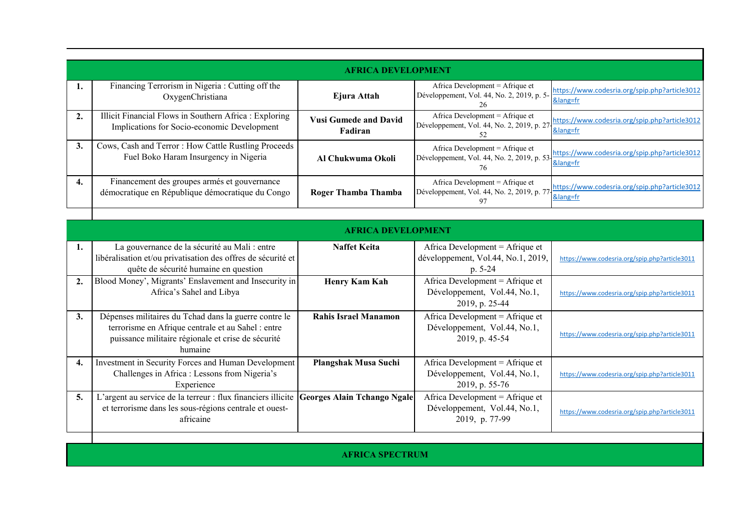|    | <b>AFRICA DEVELOPMENT</b>                                                                             |                                                |                                       |                                                                                                                                |  |
|----|-------------------------------------------------------------------------------------------------------|------------------------------------------------|---------------------------------------|--------------------------------------------------------------------------------------------------------------------------------|--|
|    | Financing Terrorism in Nigeria : Cutting off the<br>OxygenChristiana                                  | Ejura Attah                                    | Africa Development = Afrique et<br>26 | Développement, Vol. 44, No. 2, 2019, p. 5-<br>$\frac{\text{https://www.codesria.org/spip.php?article3012}}{2}$<br>⟨=fr         |  |
| 2. | Illicit Financial Flows in Southern Africa : Exploring<br>Implications for Socio-economic Development | <b>Vusi Gumede and David</b><br><b>Fadiran</b> | Africa Development = Afrique et<br>52 | Développement, Vol. 44, No. 2, 2019, p. 27<br><u>Solang=fr</u><br>Solang=fr                                                    |  |
| 3. | Cows, Cash and Terror: How Cattle Rustling Proceeds<br>Fuel Boko Haram Insurgency in Nigeria          | Al Chukwuma Okoli                              | 76                                    | Développement, Vol. 44, No. 2, 2019, p. 53 $\frac{\text{https://www.codesria.org/spip.php?article3012}}{\text{olmap}}$<br>⟨=fr |  |
| 4. | Financement des groupes armés et gouvernance<br>démocratique en République démocratique du Congo      | Roger Thamba Thamba                            | Africa Development = Afrique et<br>97 | Développement, Vol. 44, No. 2, 2019, p. 77 https://www.codesria.org/spip.php?article3012<br>⟨=fr                               |  |

|                  | <b>AFRICA DEVELOPMENT</b>                                                                                                                                                    |                                    |                                                                                    |                                               |
|------------------|------------------------------------------------------------------------------------------------------------------------------------------------------------------------------|------------------------------------|------------------------------------------------------------------------------------|-----------------------------------------------|
|                  | La gouvernance de la sécurité au Mali : entre<br>libéralisation et/ou privatisation des offres de sécurité et<br>quête de sécurité humaine en question                       | <b>Naffet Keita</b>                | Africa Development = Afrique et<br>développement, Vol.44, No.1, 2019,<br>$p. 5-24$ | https://www.codesria.org/spip.php?article3011 |
| $\overline{2}$ . | Blood Money', Migrants' Enslavement and Insecurity in<br>Africa's Sahel and Libya                                                                                            | <b>Henry Kam Kah</b>               | Africa Development = Afrique et<br>Développement, Vol.44, No.1,<br>2019, p. 25-44  | https://www.codesria.org/spip.php?article3011 |
| 3.               | Dépenses militaires du Tchad dans la guerre contre le<br>terrorisme en Afrique centrale et au Sahel : entre<br>puissance militaire régionale et crise de sécurité<br>humaine | Rahis Israel Manamon               | Africa Development = Afrique et<br>Développement, Vol.44, No.1,<br>2019, p. 45-54  | https://www.codesria.org/spip.php?article3011 |
| 4.               | Investment in Security Forces and Human Development<br>Challenges in Africa : Lessons from Nigeria's<br>Experience                                                           | Plangshak Musa Suchi               | Africa Development = Afrique et<br>Développement, Vol.44, No.1,<br>2019, p. 55-76  | https://www.codesria.org/spip.php?article3011 |
| 5.               | L'argent au service de la terreur : flux financiers illicite<br>et terrorisme dans les sous-régions centrale et ouest-<br>africaine                                          | <b>Georges Alain Tchango Ngale</b> | Africa Development = Afrique et<br>Développement, Vol.44, No.1,<br>2019, p. 77-99  | https://www.codesria.org/spip.php?article3011 |
|                  |                                                                                                                                                                              |                                    |                                                                                    |                                               |

**AFRICA SPECTRUM**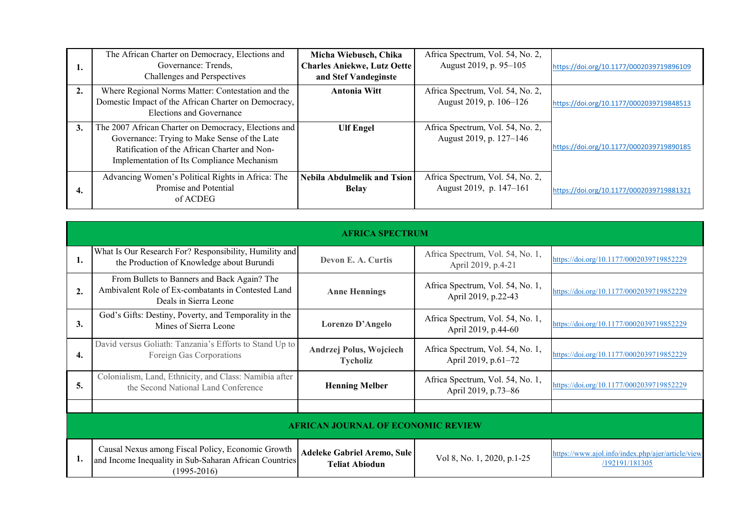| ı. | The African Charter on Democracy, Elections and<br>Governance: Trends.<br>Challenges and Perspectives                                                                                              | Micha Wiebusch, Chika<br><b>Charles Aniekwe, Lutz Oette</b><br>and Stef Vandeginste | Africa Spectrum, Vol. 54, No. 2,<br>August 2019, p. 95-105  | https://doi.org/10.1177/0002039719896109 |
|----|----------------------------------------------------------------------------------------------------------------------------------------------------------------------------------------------------|-------------------------------------------------------------------------------------|-------------------------------------------------------------|------------------------------------------|
| 2. | Where Regional Norms Matter: Contestation and the<br>Domestic Impact of the African Charter on Democracy,<br>Elections and Governance                                                              | Antonia Witt                                                                        | Africa Spectrum, Vol. 54, No. 2,<br>August 2019, p. 106–126 | https://doi.org/10.1177/0002039719848513 |
| 3. | The 2007 African Charter on Democracy, Elections and<br>Governance: Trying to Make Sense of the Late<br>Ratification of the African Charter and Non-<br>Implementation of Its Compliance Mechanism | <b>Ulf Engel</b>                                                                    | Africa Spectrum, Vol. 54, No. 2,<br>August 2019, p. 127–146 | https://doi.org/10.1177/0002039719890185 |
| 4. | Advancing Women's Political Rights in Africa: The<br>Promise and Potential<br>of ACDEG                                                                                                             | <b>Nebila Abdulmelik and Tsion</b><br><b>Belay</b>                                  | Africa Spectrum, Vol. 54, No. 2,<br>August 2019, p. 147–161 | https://doi.org/10.1177/0002039719881321 |

|                  | <b>AFRICA SPECTRUM</b>                                                                                                         |                                                             |                                                         |                                                                     |  |
|------------------|--------------------------------------------------------------------------------------------------------------------------------|-------------------------------------------------------------|---------------------------------------------------------|---------------------------------------------------------------------|--|
| 1.               | What Is Our Research For? Responsibility, Humility and<br>the Production of Knowledge about Burundi                            | Devon E. A. Curtis                                          | Africa Spectrum, Vol. 54, No. 1,<br>April 2019, p.4-21  | https://doi.org/10.1177/0002039719852229                            |  |
| $\overline{2}$ . | From Bullets to Banners and Back Again? The<br>Ambivalent Role of Ex-combatants in Contested Land<br>Deals in Sierra Leone     | <b>Anne Hennings</b>                                        | Africa Spectrum, Vol. 54, No. 1,<br>April 2019, p.22-43 | https://doi.org/10.1177/0002039719852229                            |  |
| 3.               | God's Gifts: Destiny, Poverty, and Temporality in the<br>Mines of Sierra Leone                                                 | Lorenzo D'Angelo                                            | Africa Spectrum, Vol. 54, No. 1,<br>April 2019, p.44-60 | https://doi.org/10.1177/0002039719852229                            |  |
| 4.               | David versus Goliath: Tanzania's Efforts to Stand Up to<br>Foreign Gas Corporations                                            | Andrzej Polus, Wojciech<br><b>Tycholiz</b>                  | Africa Spectrum, Vol. 54, No. 1,<br>April 2019, p.61–72 | https://doi.org/10.1177/0002039719852229                            |  |
| 5.               | Colonialism, Land, Ethnicity, and Class: Namibia after<br>the Second National Land Conference                                  | <b>Henning Melber</b>                                       | Africa Spectrum, Vol. 54, No. 1,<br>April 2019, p.73-86 | https://doi.org/10.1177/0002039719852229                            |  |
|                  |                                                                                                                                |                                                             |                                                         |                                                                     |  |
|                  | <b>AFRICAN JOURNAL OF ECONOMIC REVIEW</b>                                                                                      |                                                             |                                                         |                                                                     |  |
| 1.               | Causal Nexus among Fiscal Policy, Economic Growth<br>and Income Inequality in Sub-Saharan African Countries<br>$(1995 - 2016)$ | <b>Adeleke Gabriel Aremo, Sule</b><br><b>Teliat Abiodun</b> | Vol 8, No. 1, 2020, p.1-25                              | https://www.ajol.info/index.php/ajer/article/view<br>/192191/181305 |  |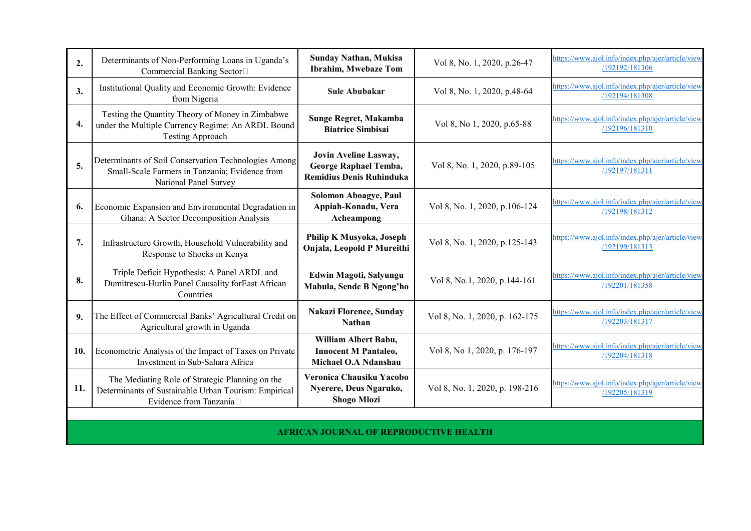| 2.  | Determinants of Non-Performing Loans in Uganda's<br>Commercial Banking Sector□                                                    | <b>Sunday Nathan, Mukisa</b><br>Ibrahim, Mwebaze Tom                              | Vol 8, No. 1, 2020, p.26-47    | https://www.ajol.info/index.php/ajer/article/view<br>/192192/181306 |  |
|-----|-----------------------------------------------------------------------------------------------------------------------------------|-----------------------------------------------------------------------------------|--------------------------------|---------------------------------------------------------------------|--|
| 3.  | Institutional Quality and Economic Growth: Evidence<br>from Nigeria                                                               | <b>Sule Abubakar</b>                                                              | Vol 8, No. 1, 2020, p.48-64    | https://www.ajol.info/index.php/ajer/article/view<br>/192194/181308 |  |
| 4.  | Testing the Quantity Theory of Money in Zimbabwe<br>under the Multiple Currency Regime: An ARDL Bound<br>Testing Approach         | Sunge Regret, Makamba<br><b>Biatrice Simbisai</b>                                 | Vol 8, No 1, 2020, p.65-88     | https://www.ajol.info/index.php/ajer/article/view<br>/192196/181310 |  |
| 5.  | Determinants of Soil Conservation Technologies Among<br>Small-Scale Farmers in Tanzania; Evidence from<br>National Panel Survey   | Jovin Aveline Lasway,<br>George Raphael Temba,<br><b>Remidius Denis Ruhinduka</b> | Vol 8, No. 1, 2020, p.89-105   | https://www.ajol.info/index.php/ajer/article/view<br>/192197/181311 |  |
| 6.  | Economic Expansion and Environmental Degradation in<br>Ghana: A Sector Decomposition Analysis                                     | Solomon Aboagye, Paul<br>Appiah-Konadu, Vera<br>Acheampong                        | Vol 8, No. 1, 2020, p.106-124  | https://www.ajol.info/index.php/ajer/article/view<br>/192198/181312 |  |
| 7.  | Infrastructure Growth, Household Vulnerability and<br>Response to Shocks in Kenya                                                 | Philip K Musyoka, Joseph<br>Onjala, Leopold P Mureithi                            | Vol 8, No. 1, 2020, p.125-143  | https://www.ajol.info/index.php/ajer/article/view<br>/192199/181313 |  |
| 8.  | Triple Deficit Hypothesis: A Panel ARDL and<br>Dumitrescu-Hurlin Panel Causality forEast African<br>Countries                     | Edwin Magoti, Salyungu<br>Mabula, Sende B Ngong'ho                                | Vol 8, No.1, 2020, p.144-161   | https://www.ajol.info/index.php/ajer/article/view<br>/192201/181358 |  |
| 9.  | The Effect of Commercial Banks' Agricultural Credit on<br>Agricultural growth in Uganda                                           | <b>Nakazi Florence, Sunday</b><br><b>Nathan</b>                                   | Vol 8, No. 1, 2020, p. 162-175 | https://www.ajol.info/index.php/ajer/article/view<br>/192203/181317 |  |
| 10. | Econometric Analysis of the Impact of Taxes on Private<br>Investment in Sub-Sahara Africa                                         | William Albert Babu,<br><b>Innocent M Pantaleo,</b><br>Michael O.A Ndanshau       | Vol 8, No 1, 2020, p. 176-197  | https://www.ajol.info/index.php/ajer/article/view<br>/192204/181318 |  |
| 11. | The Mediating Role of Strategic Planning on the<br>Determinants of Sustainable Urban Tourism: Empirical<br>Evidence from Tanzania | Veronica Chausiku Yacobo<br>Nyerere, Deus Ngaruko,<br><b>Shogo Mlozi</b>          | Vol 8, No. 1, 2020, p. 198-216 | https://www.ajol.info/index.php/ajer/article/view<br>/192205/181319 |  |
|     | <b>AFRICAN JOURNAL OF REPRODUCTIVE HEALTH</b>                                                                                     |                                                                                   |                                |                                                                     |  |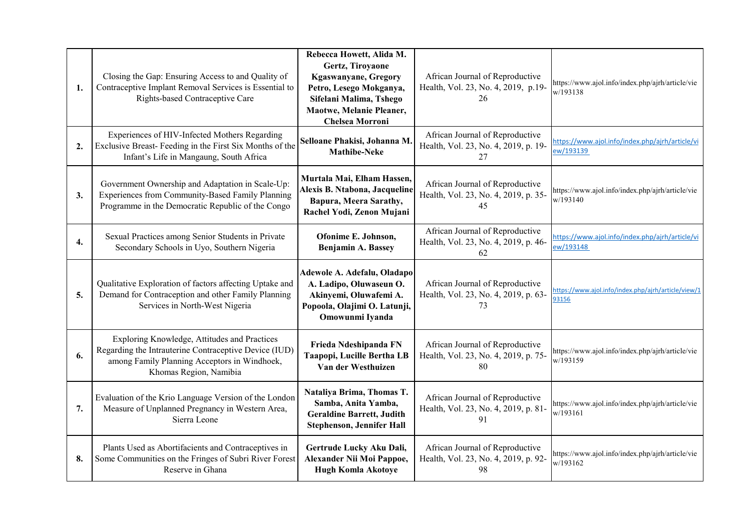| 1. | Closing the Gap: Ensuring Access to and Quality of<br>Contraceptive Implant Removal Services is Essential to<br>Rights-based Contraceptive Care                                 | Rebecca Howett, Alida M.<br>Gertz, Tiroyaone<br><b>Kgaswanyane, Gregory</b><br>Petro, Lesego Mokganya,<br>Sifelani Malima, Tshego<br>Maotwe, Melanie Pleaner,<br><b>Chelsea Morroni</b> | African Journal of Reproductive<br>Health, Vol. 23, No. 4, 2019, p.19-<br>26  | https://www.ajol.info/index.php/ajrh/article/vie<br>w/193138 |
|----|---------------------------------------------------------------------------------------------------------------------------------------------------------------------------------|-----------------------------------------------------------------------------------------------------------------------------------------------------------------------------------------|-------------------------------------------------------------------------------|--------------------------------------------------------------|
| 2. | Experiences of HIV-Infected Mothers Regarding<br>Exclusive Breast-Feeding in the First Six Months of the<br>Infant's Life in Mangaung, South Africa                             | Selloane Phakisi, Johanna M.<br><b>Mathibe-Neke</b>                                                                                                                                     | African Journal of Reproductive<br>Health, Vol. 23, No. 4, 2019, p. 19-<br>27 | https://www.ajol.info/index.php/ajrh/article/vi<br>ew/193139 |
| 3. | Government Ownership and Adaptation in Scale-Up:<br>Experiences from Community-Based Family Planning<br>Programme in the Democratic Republic of the Congo                       | Murtala Mai, Elham Hassen,<br>Alexis B. Ntabona, Jacqueline<br>Bapura, Meera Sarathy,<br>Rachel Yodi, Zenon Mujani                                                                      | African Journal of Reproductive<br>Health, Vol. 23, No. 4, 2019, p. 35-<br>45 | https://www.ajol.info/index.php/ajrh/article/vie<br>w/193140 |
| 4. | Sexual Practices among Senior Students in Private<br>Secondary Schools in Uyo, Southern Nigeria                                                                                 | Ofonime E. Johnson,<br><b>Benjamin A. Bassey</b>                                                                                                                                        | African Journal of Reproductive<br>Health, Vol. 23, No. 4, 2019, p. 46-<br>62 | https://www.ajol.info/index.php/ajrh/article/vi<br>ew/193148 |
| 5. | Qualitative Exploration of factors affecting Uptake and<br>Demand for Contraception and other Family Planning<br>Services in North-West Nigeria                                 | Adewole A. Adefalu, Oladapo<br>A. Ladipo, Oluwaseun O.<br>Akinyemi, Oluwafemi A.<br>Popoola, Olajimi O. Latunji,<br>Omowunmi Iyanda                                                     | African Journal of Reproductive<br>Health, Vol. 23, No. 4, 2019, p. 63-<br>73 | https://www.ajol.info/index.php/ajrh/article/view/1<br>93156 |
| 6. | Exploring Knowledge, Attitudes and Practices<br>Regarding the Intrauterine Contraceptive Device (IUD)<br>among Family Planning Acceptors in Windhoek,<br>Khomas Region, Namibia | Frieda Ndeshipanda FN<br>Taapopi, Lucille Bertha LB<br>Van der Westhuizen                                                                                                               | African Journal of Reproductive<br>Health, Vol. 23, No. 4, 2019, p. 75-<br>80 | https://www.ajol.info/index.php/ajrh/article/vie<br>w/193159 |
| 7. | Evaluation of the Krio Language Version of the London<br>Measure of Unplanned Pregnancy in Western Area,<br>Sierra Leone                                                        | Nataliya Brima, Thomas T.<br>Samba, Anita Yamba,<br><b>Geraldine Barrett, Judith</b><br>Stephenson, Jennifer Hall                                                                       | African Journal of Reproductive<br>Health, Vol. 23, No. 4, 2019, p. 81-<br>91 | https://www.ajol.info/index.php/ajrh/article/vie<br>w/193161 |
| 8. | Plants Used as Abortifacients and Contraceptives in<br>Some Communities on the Fringes of Subri River Forest<br>Reserve in Ghana                                                | Gertrude Lucky Aku Dali,<br>Alexander Nii Moi Pappoe,<br><b>Hugh Komla Akotoye</b>                                                                                                      | African Journal of Reproductive<br>Health, Vol. 23, No. 4, 2019, p. 92-<br>98 | https://www.ajol.info/index.php/ajrh/article/vie<br>w/193162 |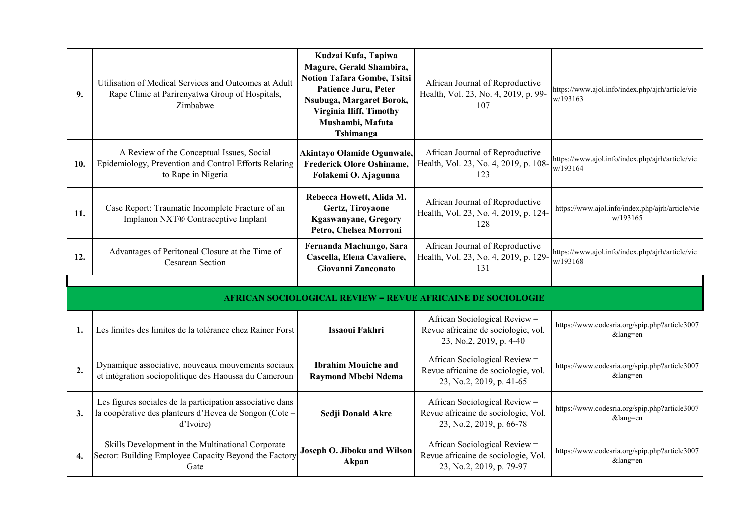| 9.               | Utilisation of Medical Services and Outcomes at Adult<br>Rape Clinic at Parirenyatwa Group of Hospitals,<br>Zimbabwe            | Kudzai Kufa, Tapiwa<br>Magure, Gerald Shambira,<br><b>Notion Tafara Gombe, Tsitsi</b><br>Patience Juru, Peter<br>Nsubuga, Margaret Borok,<br><b>Virginia Iliff, Timothy</b><br>Mushambi, Mafuta<br>Tshimanga | African Journal of Reproductive<br>Health, Vol. 23, No. 4, 2019, p. 99-<br>107                   | https://www.ajol.info/index.php/ajrh/article/vie<br>w/193163 |
|------------------|---------------------------------------------------------------------------------------------------------------------------------|--------------------------------------------------------------------------------------------------------------------------------------------------------------------------------------------------------------|--------------------------------------------------------------------------------------------------|--------------------------------------------------------------|
| 10.              | A Review of the Conceptual Issues, Social<br>Epidemiology, Prevention and Control Efforts Relating<br>to Rape in Nigeria        | Akintayo Olamide Ogunwale,<br><b>Frederick Olore Oshiname,</b><br>Folakemi O. Ajagunna                                                                                                                       | African Journal of Reproductive<br>Health, Vol. 23, No. 4, 2019, p. 108-<br>123                  | https://www.ajol.info/index.php/ajrh/article/vie<br>w/193164 |
| 11.              | Case Report: Traumatic Incomplete Fracture of an<br>Implanon NXT® Contraceptive Implant                                         | Rebecca Howett, Alida M.<br>Gertz, Tiroyaone<br><b>Kgaswanyane, Gregory</b><br>Petro, Chelsea Morroni                                                                                                        | African Journal of Reproductive<br>Health, Vol. 23, No. 4, 2019, p. 124-<br>128                  | https://www.ajol.info/index.php/ajrh/article/vie<br>w/193165 |
| 12.              | Advantages of Peritoneal Closure at the Time of<br>Cesarean Section                                                             | Fernanda Machungo, Sara<br>Cascella, Elena Cavaliere,<br>Giovanni Zanconato                                                                                                                                  | African Journal of Reproductive<br>Health, Vol. 23, No. 4, 2019, p. 129-<br>131                  | https://www.ajol.info/index.php/ajrh/article/vie<br>w/193168 |
|                  |                                                                                                                                 |                                                                                                                                                                                                              |                                                                                                  |                                                              |
|                  |                                                                                                                                 |                                                                                                                                                                                                              | <b>AFRICAN SOCIOLOGICAL REVIEW = REVUE AFRICAINE DE SOCIOLOGIE</b>                               |                                                              |
| 1.               | Les limites des limites de la tolérance chez Rainer Forst                                                                       | <b>Issaoui Fakhri</b>                                                                                                                                                                                        | African Sociological Review =<br>Revue africaine de sociologie, vol.<br>23, No.2, 2019, p. 4-40  | https://www.codesria.org/spip.php?article3007<br>⟨=en        |
| $\overline{2}$ . | Dynamique associative, nouveaux mouvements sociaux<br>et intégration sociopolitique des Haoussa du Cameroun                     | <b>Ibrahim Mouiche and</b><br><b>Raymond Mbebi Ndema</b>                                                                                                                                                     | African Sociological Review =<br>Revue africaine de sociologie, vol.<br>23, No.2, 2019, p. 41-65 | https://www.codesria.org/spip.php?article3007<br>⟨=en        |
| 3.               | Les figures sociales de la participation associative dans<br>la coopérative des planteurs d'Hevea de Songon (Cote-<br>d'Ivoire) | Sedji Donald Akre                                                                                                                                                                                            | African Sociological Review =<br>Revue africaine de sociologie, Vol.<br>23, No.2, 2019, p. 66-78 | https://www.codesria.org/spip.php?article3007<br>⟨=en        |
| 4.               | Skills Development in the Multinational Corporate<br>Sector: Building Employee Capacity Beyond the Factory<br>Gate              | <b>Joseph O. Jiboku and Wilson</b><br>Akpan                                                                                                                                                                  | African Sociological Review =<br>Revue africaine de sociologie, Vol.<br>23, No.2, 2019, p. 79-97 | https://www.codesria.org/spip.php?article3007<br>$&$ lang=en |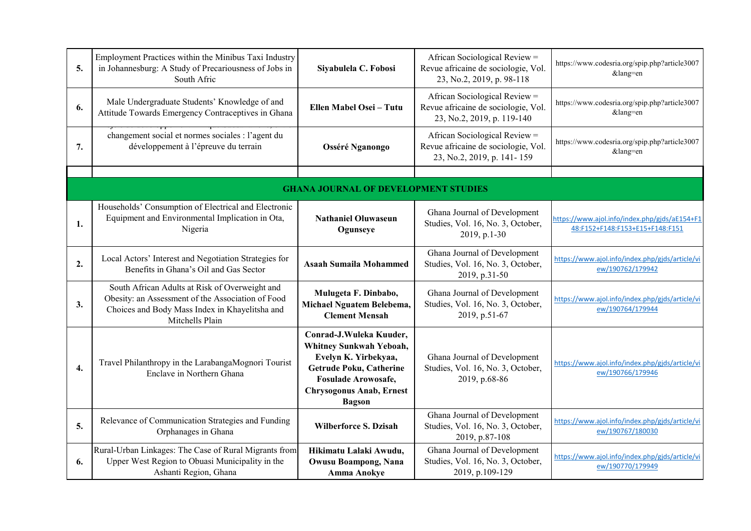| 5.               | Employment Practices within the Minibus Taxi Industry<br>in Johannesburg: A Study of Precariousness of Jobs in<br>South Afric                                            | Siyabulela C. Fobosi                                                                                                                                                                           | African Sociological Review =<br>Revue africaine de sociologie, Vol.<br>23, No.2, 2019, p. 98-118  | https://www.codesria.org/spip.php?article3007<br>⟨=en                            |
|------------------|--------------------------------------------------------------------------------------------------------------------------------------------------------------------------|------------------------------------------------------------------------------------------------------------------------------------------------------------------------------------------------|----------------------------------------------------------------------------------------------------|----------------------------------------------------------------------------------|
| 6.               | Male Undergraduate Students' Knowledge of and<br>Attitude Towards Emergency Contraceptives in Ghana                                                                      | Ellen Mabel Osei - Tutu                                                                                                                                                                        | African Sociological Review =<br>Revue africaine de sociologie, Vol.<br>23, No.2, 2019, p. 119-140 | https://www.codesria.org/spip.php?article3007<br>⟨=en                            |
| 7.               | changement social et normes sociales : l'agent du<br>développement à l'épreuve du terrain                                                                                | <b>Osséré Nganongo</b>                                                                                                                                                                         | African Sociological Review =<br>Revue africaine de sociologie, Vol.<br>23, No.2, 2019, p. 141-159 | https://www.codesria.org/spip.php?article3007<br>⟨=en                            |
|                  |                                                                                                                                                                          |                                                                                                                                                                                                |                                                                                                    |                                                                                  |
|                  |                                                                                                                                                                          | <b>GHANA JOURNAL OF DEVELOPMENT STUDIES</b>                                                                                                                                                    |                                                                                                    |                                                                                  |
| 1.               | Households' Consumption of Electrical and Electronic<br>Equipment and Environmental Implication in Ota,<br>Nigeria                                                       | <b>Nathaniel Oluwaseun</b><br>Ogunseye                                                                                                                                                         | Ghana Journal of Development<br>Studies, Vol. 16, No. 3, October,<br>2019, p.1-30                  | https://www.ajol.info/index.php/gjds/aE154+F1<br>48:F152+F148:F153+E15+F148:F151 |
| 2.               | Local Actors' Interest and Negotiation Strategies for<br>Benefits in Ghana's Oil and Gas Sector                                                                          | <b>Asaah Sumaila Mohammed</b>                                                                                                                                                                  | Ghana Journal of Development<br>Studies, Vol. 16, No. 3, October,<br>2019, p.31-50                 | https://www.ajol.info/index.php/gjds/article/vi<br>ew/190762/179942              |
| 3.               | South African Adults at Risk of Overweight and<br>Obesity: an Assessment of the Association of Food<br>Choices and Body Mass Index in Khayelitsha and<br>Mitchells Plain | Mulugeta F. Dinbabo,<br>Michael Nguatem Belebema,<br><b>Clement Mensah</b>                                                                                                                     | Ghana Journal of Development<br>Studies, Vol. 16, No. 3, October,<br>2019, p.51-67                 | https://www.ajol.info/index.php/gjds/article/vi<br>ew/190764/179944              |
| $\overline{4}$ . | Travel Philanthropy in the LarabangaMognori Tourist<br>Enclave in Northern Ghana                                                                                         | Conrad-J.Wuleka Kuuder,<br>Whitney Sunkwah Yeboah,<br>Evelyn K. Yirbekyaa,<br><b>Getrude Poku, Catherine</b><br><b>Fosulade Arowosafe,</b><br><b>Chrysogonus Anab, Ernest</b><br><b>Bagson</b> | Ghana Journal of Development<br>Studies, Vol. 16, No. 3, October,<br>2019, p.68-86                 | https://www.ajol.info/index.php/gjds/article/vi<br>ew/190766/179946              |
| 5.               | Relevance of Communication Strategies and Funding<br>Orphanages in Ghana                                                                                                 | <b>Wilberforce S. Dzisah</b>                                                                                                                                                                   | Ghana Journal of Development<br>Studies, Vol. 16, No. 3, October,<br>2019, p.87-108                | https://www.ajol.info/index.php/gjds/article/vi<br>ew/190767/180030              |
| 6.               | Rural-Urban Linkages: The Case of Rural Migrants from<br>Upper West Region to Obuasi Municipality in the<br>Ashanti Region, Ghana                                        | Hikimatu Lalaki Awudu,<br>Owusu Boampong, Nana<br><b>Amma Anokye</b>                                                                                                                           | Ghana Journal of Development<br>Studies, Vol. 16, No. 3, October,<br>2019, p.109-129               | https://www.ajol.info/index.php/gjds/article/vi<br>ew/190770/179949              |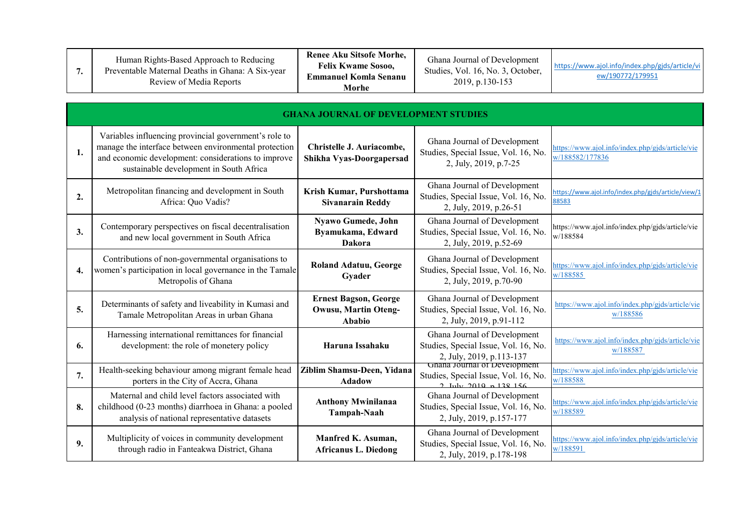| 7. | Human Rights-Based Approach to Reducing<br>Preventable Maternal Deaths in Ghana: A Six-year<br>Review of Media Reports                                                                                           | Renee Aku Sitsofe Morhe,<br><b>Felix Kwame Sosoo,</b><br><b>Emmanuel Komla Senanu</b><br>Morhe | Ghana Journal of Development<br>Studies, Vol. 16, No. 3, October,<br>2019, p.130-153                            | https://www.ajol.info/index.php/gjds/article/vi<br>ew/190772/179951 |
|----|------------------------------------------------------------------------------------------------------------------------------------------------------------------------------------------------------------------|------------------------------------------------------------------------------------------------|-----------------------------------------------------------------------------------------------------------------|---------------------------------------------------------------------|
|    |                                                                                                                                                                                                                  | <b>GHANA JOURNAL OF DEVELOPMENT STUDIES</b>                                                    |                                                                                                                 |                                                                     |
| 1. | Variables influencing provincial government's role to<br>manage the interface between environmental protection<br>and economic development: considerations to improve<br>sustainable development in South Africa | Christelle J. Auriacombe,<br>Shikha Vyas-Doorgapersad                                          | Ghana Journal of Development<br>Studies, Special Issue, Vol. 16, No.<br>2, July, 2019, p.7-25                   | https://www.ajol.info/index.php/gjds/article/vie<br>w/188582/177836 |
| 2. | Metropolitan financing and development in South<br>Africa: Quo Vadis?                                                                                                                                            | Krish Kumar, Purshottama<br><b>Sivanarain Reddy</b>                                            | Ghana Journal of Development<br>Studies, Special Issue, Vol. 16, No.<br>2, July, 2019, p.26-51                  | https://www.ajol.info/index.php/gjds/article/view/1<br>88583        |
| 3. | Contemporary perspectives on fiscal decentralisation<br>and new local government in South Africa                                                                                                                 | Nyawo Gumede, John<br>Byamukama, Edward<br><b>Dakora</b>                                       | Ghana Journal of Development<br>Studies, Special Issue, Vol. 16, No.<br>2, July, 2019, p.52-69                  | https://www.ajol.info/index.php/gjds/article/vie<br>w/188584        |
| 4. | Contributions of non-governmental organisations to<br>women's participation in local governance in the Tamale<br>Metropolis of Ghana                                                                             | <b>Roland Adatuu, George</b><br>Gyader                                                         | Ghana Journal of Development<br>Studies, Special Issue, Vol. 16, No.<br>2, July, 2019, p.70-90                  | https://www.ajol.info/index.php/gjds/article/vie<br>w/188585        |
| 5. | Determinants of safety and liveability in Kumasi and<br>Tamale Metropolitan Areas in urban Ghana                                                                                                                 | <b>Ernest Bagson, George</b><br><b>Owusu, Martin Oteng-</b><br>Ababio                          | Ghana Journal of Development<br>Studies, Special Issue, Vol. 16, No.<br>2, July, 2019, p.91-112                 | https://www.ajol.info/index.php/gjds/article/vie<br>w/188586        |
| 6. | Harnessing international remittances for financial<br>development: the role of monetery policy                                                                                                                   | Haruna Issahaku                                                                                | Ghana Journal of Development<br>Studies, Special Issue, Vol. 16, No.<br>2, July, 2019, p.113-137                | https://www.ajol.info/index.php/gjds/article/vie<br>w/188587        |
| 7. | Health-seeking behaviour among migrant female head<br>porters in the City of Accra, Ghana                                                                                                                        | Ziblim Shamsu-Deen, Yidana<br><b>Adadow</b>                                                    | Gnana Journal of Development<br>Studies, Special Issue, Vol. 16, No.<br>$2 \text{ Luly } 2019 \text{ n} 138156$ | https://www.ajol.info/index.php/gjds/article/vie<br>w/188588        |
| 8. | Maternal and child level factors associated with<br>childhood (0-23 months) diarrhoea in Ghana: a pooled<br>analysis of national representative datasets                                                         | <b>Anthony Mwinilanaa</b><br><b>Tampah-Naah</b>                                                | Ghana Journal of Development<br>Studies, Special Issue, Vol. 16, No.<br>2, July, 2019, p.157-177                | https://www.ajol.info/index.php/gjds/article/vie<br>w/188589        |
| 9. | Multiplicity of voices in community development<br>through radio in Fanteakwa District, Ghana                                                                                                                    | Manfred K. Asuman,<br><b>Africanus L. Diedong</b>                                              | Ghana Journal of Development<br>Studies, Special Issue, Vol. 16, No.<br>2, July, 2019, p.178-198                | https://www.ajol.info/index.php/gjds/article/vie<br>w/188591        |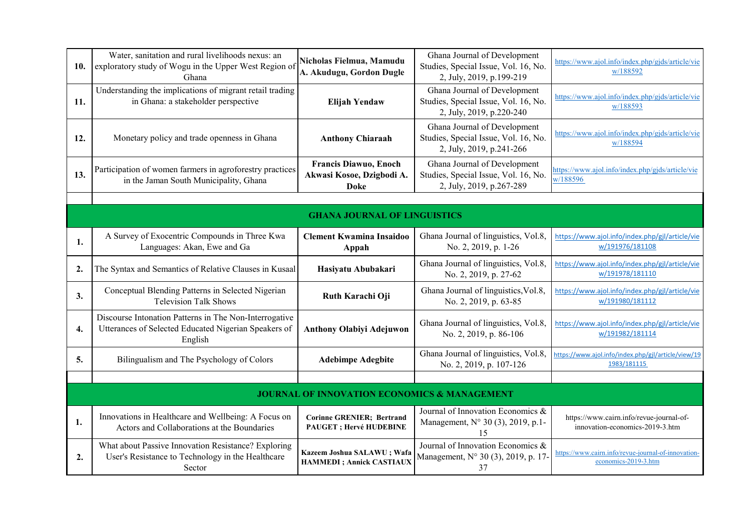| 10. | Water, sanitation and rural livelihoods nexus: an<br>exploratory study of Wogu in the Upper West Region of<br>Ghana       | Nicholas Fielmua, Mamudu<br>A. Akudugu, Gordon Dugle                | Ghana Journal of Development<br>Studies, Special Issue, Vol. 16, No.<br>2, July, 2019, p.199-219 | https://www.ajol.info/index.php/gjds/article/vie<br>w/188592                |
|-----|---------------------------------------------------------------------------------------------------------------------------|---------------------------------------------------------------------|--------------------------------------------------------------------------------------------------|-----------------------------------------------------------------------------|
| 11. | Understanding the implications of migrant retail trading<br>in Ghana: a stakeholder perspective                           | Elijah Yendaw                                                       | Ghana Journal of Development<br>Studies, Special Issue, Vol. 16, No.<br>2, July, 2019, p.220-240 | https://www.ajol.info/index.php/gjds/article/vie<br>w/188593                |
| 12. | Monetary policy and trade openness in Ghana                                                                               | <b>Anthony Chiaraah</b>                                             | Ghana Journal of Development<br>Studies, Special Issue, Vol. 16, No.<br>2, July, 2019, p.241-266 | https://www.ajol.info/index.php/gjds/article/vie<br>w/188594                |
| 13. | Participation of women farmers in agroforestry practices<br>in the Jaman South Municipality, Ghana                        | Francis Diawuo, Enoch<br>Akwasi Kosoe, Dzigbodi A.<br><b>Doke</b>   | Ghana Journal of Development<br>Studies, Special Issue, Vol. 16, No.<br>2, July, 2019, p.267-289 | https://www.ajol.info/index.php/gjds/article/vie<br>w/188596                |
|     |                                                                                                                           |                                                                     |                                                                                                  |                                                                             |
|     |                                                                                                                           | <b>GHANA JOURNAL OF LINGUISTICS</b>                                 |                                                                                                  |                                                                             |
| 1.  | A Survey of Exocentric Compounds in Three Kwa<br>Languages: Akan, Ewe and Ga                                              | <b>Clement Kwamina Insaidoo</b><br>Appah                            | Ghana Journal of linguistics, Vol.8,<br>No. 2, 2019, p. 1-26                                     | https://www.ajol.info/index.php/gjl/article/vie<br>w/191976/181108          |
| 2.  | The Syntax and Semantics of Relative Clauses in Kusaal                                                                    | Hasiyatu Abubakari                                                  | Ghana Journal of linguistics, Vol.8,<br>No. 2, 2019, p. 27-62                                    | https://www.ajol.info/index.php/gjl/article/vie<br>w/191978/181110          |
| 3.  | Conceptual Blending Patterns in Selected Nigerian<br><b>Television Talk Shows</b>                                         | Ruth Karachi Oji                                                    | Ghana Journal of linguistics, Vol.8,<br>No. 2, 2019, p. 63-85                                    | https://www.ajol.info/index.php/gjl/article/vie<br>w/191980/181112          |
| 4.  | Discourse Intonation Patterns in The Non-Interrogative<br>Utterances of Selected Educated Nigerian Speakers of<br>English | <b>Anthony Olabiyi Adejuwon</b>                                     | Ghana Journal of linguistics, Vol.8,<br>No. 2, 2019, p. 86-106                                   | https://www.ajol.info/index.php/gjl/article/vie<br>w/191982/181114          |
| 5.  | Bilingualism and The Psychology of Colors                                                                                 | <b>Adebimpe Adegbite</b>                                            | Ghana Journal of linguistics, Vol.8,<br>No. 2, 2019, p. 107-126                                  | https://www.ajol.info/index.php/gjl/article/view/19<br>1983/181115          |
|     |                                                                                                                           |                                                                     |                                                                                                  |                                                                             |
|     |                                                                                                                           | <b>JOURNAL OF INNOVATION ECONOMICS &amp; MANAGEMENT</b>             |                                                                                                  |                                                                             |
| 1.  | Innovations in Healthcare and Wellbeing: A Focus on<br>Actors and Collaborations at the Boundaries                        | <b>Corinne GRENIER</b> ; Bertrand<br><b>PAUGET</b> ; Hervé HUDEBINE | Journal of Innovation Economics &<br>Management, N° 30 (3), 2019, p.1-<br>15                     | https://www.cairn.info/revue-journal-of-<br>innovation-economics-2019-3.htm |
| 2.  | What about Passive Innovation Resistance? Exploring<br>User's Resistance to Technology in the Healthcare<br>Sector        | Kazeem Joshua SALAWU; Wafa<br><b>HAMMEDI</b> ; Annick CASTIAUX      | Journal of Innovation Economics &<br>Management, N° 30 (3), 2019, p. 17-<br>37                   | https://www.cairn.info/revue-journal-of-innovation-<br>economics-2019-3.htm |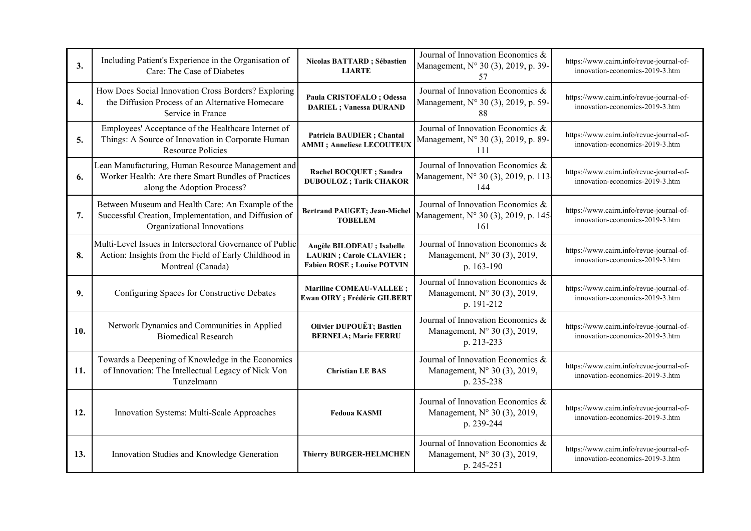| 3.               | Including Patient's Experience in the Organisation of<br>Care: The Case of Diabetes                                                      | Nicolas BATTARD; Sébastien<br><b>LIARTE</b>                                                         | Journal of Innovation Economics &<br>Management, N° 30 (3), 2019, p. 39-<br>57  | https://www.cairn.info/revue-journal-of-<br>innovation-economics-2019-3.htm |
|------------------|------------------------------------------------------------------------------------------------------------------------------------------|-----------------------------------------------------------------------------------------------------|---------------------------------------------------------------------------------|-----------------------------------------------------------------------------|
| $\overline{4}$ . | How Does Social Innovation Cross Borders? Exploring<br>the Diffusion Process of an Alternative Homecare<br>Service in France             | Paula CRISTOFALO ; Odessa<br><b>DARIEL</b> ; Vanessa DURAND                                         | Journal of Innovation Economics &<br>Management, N° 30 (3), 2019, p. 59-<br>88  | https://www.cairn.info/revue-journal-of-<br>innovation-economics-2019-3.htm |
| 5.               | Employees' Acceptance of the Healthcare Internet of<br>Things: A Source of Innovation in Corporate Human<br><b>Resource Policies</b>     | Patricia BAUDIER ; Chantal<br><b>AMMI</b> ; Anneliese LECOUTEUX                                     | Journal of Innovation Economics &<br>Management, N° 30 (3), 2019, p. 89-<br>111 | https://www.cairn.info/revue-journal-of-<br>innovation-economics-2019-3.htm |
| 6.               | Lean Manufacturing, Human Resource Management and<br>Worker Health: Are there Smart Bundles of Practices<br>along the Adoption Process?  | <b>Rachel BOCQUET</b> ; Sandra<br><b>DUBOULOZ</b> ; Tarik CHAKOR                                    | Journal of Innovation Economics &<br>Management, N° 30 (3), 2019, p. 113<br>144 | https://www.cairn.info/revue-journal-of-<br>innovation-economics-2019-3.htm |
| 7.               | Between Museum and Health Care: An Example of the<br>Successful Creation, Implementation, and Diffusion of<br>Organizational Innovations | <b>Bertrand PAUGET; Jean-Michel</b><br><b>TOBELEM</b>                                               | Journal of Innovation Economics &<br>Management, N° 30 (3), 2019, p. 145<br>161 | https://www.cairn.info/revue-journal-of-<br>innovation-economics-2019-3.htm |
| 8.               | Multi-Level Issues in Intersectoral Governance of Public<br>Action: Insights from the Field of Early Childhood in<br>Montreal (Canada)   | Angèle BILODEAU ; Isabelle<br><b>LAURIN</b> ; Carole CLAVIER;<br><b>Fabien ROSE</b> ; Louise POTVIN | Journal of Innovation Economics &<br>Management, N° 30 (3), 2019,<br>p. 163-190 | https://www.cairn.info/revue-journal-of-<br>innovation-economics-2019-3.htm |
| 9.               | Configuring Spaces for Constructive Debates                                                                                              | Mariline COMEAU-VALLEE;<br><b>Ewan OIRY</b> ; Frédéric GILBERT                                      | Journal of Innovation Economics &<br>Management, N° 30 (3), 2019,<br>p. 191-212 | https://www.cairn.info/revue-journal-of-<br>innovation-economics-2019-3.htm |
| 10.              | Network Dynamics and Communities in Applied<br><b>Biomedical Research</b>                                                                | <b>Olivier DUPOUËT; Bastien</b><br><b>BERNELA; Marie FERRU</b>                                      | Journal of Innovation Economics &<br>Management, N° 30 (3), 2019,<br>p. 213-233 | https://www.cairn.info/revue-journal-of-<br>innovation-economics-2019-3.htm |
| 11.              | Towards a Deepening of Knowledge in the Economics<br>of Innovation: The Intellectual Legacy of Nick Von<br>Tunzelmann                    | <b>Christian LE BAS</b>                                                                             | Journal of Innovation Economics &<br>Management, N° 30 (3), 2019,<br>p. 235-238 | https://www.cairn.info/revue-journal-of-<br>innovation-economics-2019-3.htm |
| 12.              | Innovation Systems: Multi-Scale Approaches                                                                                               | <b>Fedoua KASMI</b>                                                                                 | Journal of Innovation Economics &<br>Management, N° 30 (3), 2019,<br>p. 239-244 | https://www.cairn.info/revue-journal-of-<br>innovation-economics-2019-3.htm |
| 13.              | Innovation Studies and Knowledge Generation                                                                                              | <b>Thierry BURGER-HELMCHEN</b>                                                                      | Journal of Innovation Economics &<br>Management, N° 30 (3), 2019,<br>p. 245-251 | https://www.cairn.info/revue-journal-of-<br>innovation-economics-2019-3.htm |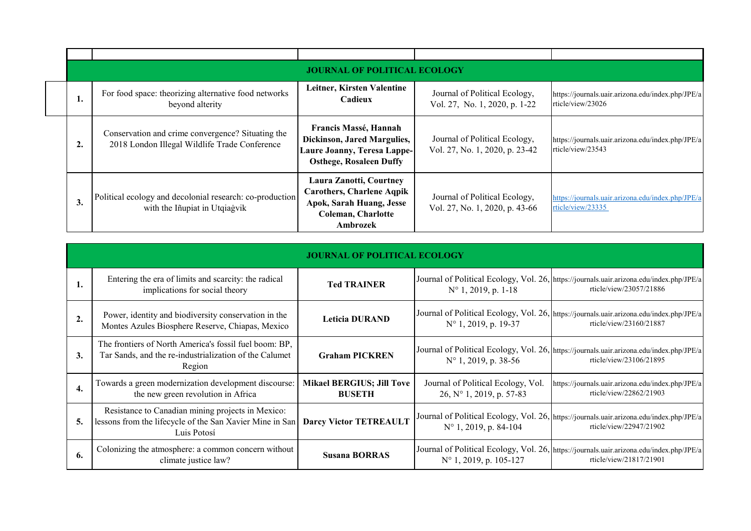|    |                                                                                                    | <b>JOURNAL OF POLITICAL ECOLOGY</b>                                                                                                     |                                                                 |                                                                        |
|----|----------------------------------------------------------------------------------------------------|-----------------------------------------------------------------------------------------------------------------------------------------|-----------------------------------------------------------------|------------------------------------------------------------------------|
| 1. | For food space: theorizing alternative food networks<br>beyond alterity                            | Leitner, Kirsten Valentine<br>Cadieux                                                                                                   | Journal of Political Ecology,<br>Vol. 27, No. 1, 2020, p. 1-22  | https://journals.uair.arizona.edu/index.php/JPE/a<br>rticle/view/23026 |
| 2. | Conservation and crime convergence? Situating the<br>2018 London Illegal Wildlife Trade Conference | Francis Massé, Hannah<br>Dickinson, Jared Margulies,<br>Laure Joanny, Teresa Lappe-<br><b>Osthege, Rosaleen Duffy</b>                   | Journal of Political Ecology,<br>Vol. 27, No. 1, 2020, p. 23-42 | https://journals.uair.arizona.edu/index.php/JPE/a<br>rticle/view/23543 |
| 3. | Political ecology and decolonial research: co-production<br>with the Iñupiat in Utqiagvik          | Laura Zanotti, Courtney<br><b>Carothers, Charlene Aqpik</b><br><b>Apok, Sarah Huang, Jesse</b><br><b>Coleman, Charlotte</b><br>Ambrozek | Journal of Political Ecology,<br>Vol. 27, No. 1, 2020, p. 43-66 | https://journals.uair.arizona.edu/index.php/JPE/a<br>rticle/view/23335 |

|    | <b>JOURNAL OF POLITICAL ECOLOGY</b>                                                                                          |                                                   |                                                                |                                                                                                                     |  |
|----|------------------------------------------------------------------------------------------------------------------------------|---------------------------------------------------|----------------------------------------------------------------|---------------------------------------------------------------------------------------------------------------------|--|
| 1. | Entering the era of limits and scarcity: the radical<br>implications for social theory                                       | <b>Ted TRAINER</b>                                | $N^{\circ}$ 1, 2019, p. 1-18                                   | Journal of Political Ecology, Vol. 26, https://journals.uair.arizona.edu/index.php/JPE/a<br>rticle/view/23057/21886 |  |
| 2. | Power, identity and biodiversity conservation in the<br>Montes Azules Biosphere Reserve, Chiapas, Mexico                     | <b>Leticia DURAND</b>                             | $N^{\circ}$ 1, 2019, p. 19-37                                  | Journal of Political Ecology, Vol. 26, https://journals.uair.arizona.edu/index.php/JPE/a<br>rticle/view/23160/21887 |  |
| 3. | The frontiers of North America's fossil fuel boom: BP,<br>Tar Sands, and the re-industrialization of the Calumet<br>Region   | <b>Graham PICKREN</b>                             | $N^{\circ}$ 1, 2019, p. 38-56                                  | Journal of Political Ecology, Vol. 26, https://journals.uair.arizona.edu/index.php/JPE/a<br>rticle/view/23106/21895 |  |
| 4. | Towards a green modernization development discourse:<br>the new green revolution in Africa                                   | <b>Mikael BERGIUS; Jill Tove</b><br><b>BUSETH</b> | Journal of Political Ecology, Vol.<br>26, N° 1, 2019, p. 57-83 | https://journals.uair.arizona.edu/index.php/JPE/a<br>rticle/view/22862/21903                                        |  |
| 5. | Resistance to Canadian mining projects in Mexico:<br>lessons from the lifecycle of the San Xavier Mine in San<br>Luis Potosí | <b>Darcy Victor TETREAULT</b>                     | $N^{\circ}$ 1, 2019, p. 84-104                                 | Journal of Political Ecology, Vol. 26, https://journals.uair.arizona.edu/index.php/JPE/a<br>rticle/view/22947/21902 |  |
| 6. | Colonizing the atmosphere: a common concern without<br>climate justice law?                                                  | <b>Susana BORRAS</b>                              | $N^{\circ}$ 1, 2019, p. 105-127                                | Journal of Political Ecology, Vol. 26, https://journals.uair.arizona.edu/index.php/JPE/a<br>rticle/view/21817/21901 |  |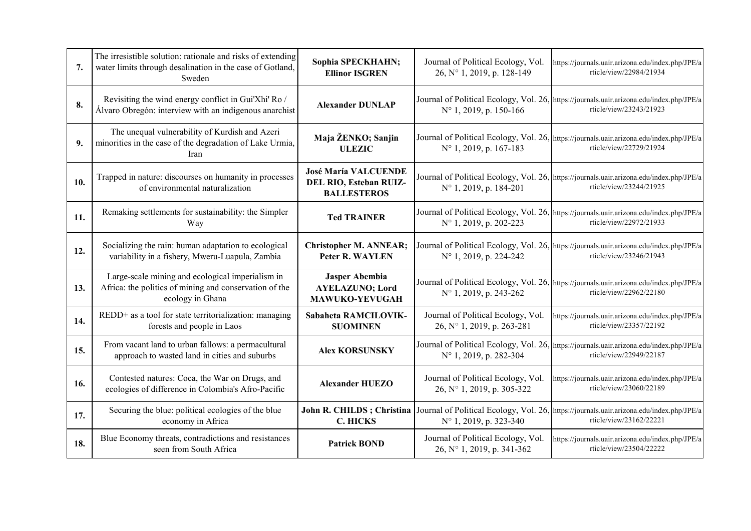| 7.  | The irresistible solution: rationale and risks of extending<br>water limits through desalination in the case of Gotland,<br>Sweden | Sophia SPECKHAHN;<br><b>Ellinor ISGREN</b>                                  | Journal of Political Ecology, Vol.<br>26, N° 1, 2019, p. 128-149 | https://journals.uair.arizona.edu/index.php/JPE/a<br>rticle/view/22984/21934                                        |
|-----|------------------------------------------------------------------------------------------------------------------------------------|-----------------------------------------------------------------------------|------------------------------------------------------------------|---------------------------------------------------------------------------------------------------------------------|
| 8.  | Revisiting the wind energy conflict in Gui'Xhi' Ro /<br>Álvaro Obregón: interview with an indigenous anarchist                     | <b>Alexander DUNLAP</b>                                                     | $N^{\circ}$ 1, 2019, p. 150-166                                  | Journal of Political Ecology, Vol. 26, https://journals.uair.arizona.edu/index.php/JPE/a<br>rticle/view/23243/21923 |
| 9.  | The unequal vulnerability of Kurdish and Azeri<br>minorities in the case of the degradation of Lake Urmia,<br>Iran                 | Maja ŽENKO; Sanjin<br><b>ULEZIC</b>                                         | N° 1, 2019, p. 167-183                                           | Journal of Political Ecology, Vol. 26, https://journals.uair.arizona.edu/index.php/JPE/a<br>rticle/view/22729/21924 |
| 10. | Trapped in nature: discourses on humanity in processes<br>of environmental naturalization                                          | <b>José María VALCUENDE</b><br>DEL RIO, Esteban RUIZ-<br><b>BALLESTEROS</b> | N° 1, 2019, p. 184-201                                           | Journal of Political Ecology, Vol. 26, https://journals.uair.arizona.edu/index.php/JPE/a<br>rticle/view/23244/21925 |
| 11. | Remaking settlements for sustainability: the Simpler<br>Way                                                                        | <b>Ted TRAINER</b>                                                          | N° 1, 2019, p. 202-223                                           | Journal of Political Ecology, Vol. 26, https://journals.uair.arizona.edu/index.php/JPE/a<br>rticle/view/22972/21933 |
| 12. | Socializing the rain: human adaptation to ecological<br>variability in a fishery, Mweru-Luapula, Zambia                            | <b>Christopher M. ANNEAR;</b><br>Peter R. WAYLEN                            | N° 1, 2019, p. 224-242                                           | Journal of Political Ecology, Vol. 26, https://journals.uair.arizona.edu/index.php/JPE/a<br>rticle/view/23246/21943 |
| 13. | Large-scale mining and ecological imperialism in<br>Africa: the politics of mining and conservation of the<br>ecology in Ghana     | Jasper Abembia<br><b>AYELAZUNO; Lord</b><br><b>MAWUKO-YEVUGAH</b>           | $N^{\circ}$ 1, 2019, p. 243-262                                  | Journal of Political Ecology, Vol. 26, https://journals.uair.arizona.edu/index.php/JPE/a<br>rticle/view/22962/22180 |
| 14. | REDD+ as a tool for state territorialization: managing<br>forests and people in Laos                                               | Sabaheta RAMCILOVIK-<br><b>SUOMINEN</b>                                     | Journal of Political Ecology, Vol.<br>26, N° 1, 2019, p. 263-281 | https://journals.uair.arizona.edu/index.php/JPE/a<br>rticle/view/23357/22192                                        |
| 15. | From vacant land to urban fallows: a permacultural<br>approach to wasted land in cities and suburbs                                | <b>Alex KORSUNSKY</b>                                                       | N° 1, 2019, p. 282-304                                           | Journal of Political Ecology, Vol. 26, https://journals.uair.arizona.edu/index.php/JPE/a<br>rticle/view/22949/22187 |
| 16. | Contested natures: Coca, the War on Drugs, and<br>ecologies of difference in Colombia's Afro-Pacific                               | <b>Alexander HUEZO</b>                                                      | Journal of Political Ecology, Vol.<br>26, N° 1, 2019, p. 305-322 | https://journals.uair.arizona.edu/index.php/JPE/a<br>rticle/view/23060/22189                                        |
| 17. | Securing the blue: political ecologies of the blue<br>economy in Africa                                                            | John R. CHILDS; Christina<br><b>C. HICKS</b>                                | $N^{\circ}$ 1, 2019, p. 323-340                                  | Journal of Political Ecology, Vol. 26, https://journals.uair.arizona.edu/index.php/JPE/a<br>rticle/view/23162/22221 |
| 18. | Blue Economy threats, contradictions and resistances<br>seen from South Africa                                                     | <b>Patrick BOND</b>                                                         | Journal of Political Ecology, Vol.<br>26, N° 1, 2019, p. 341-362 | https://journals.uair.arizona.edu/index.php/JPE/a<br>rticle/view/23504/22222                                        |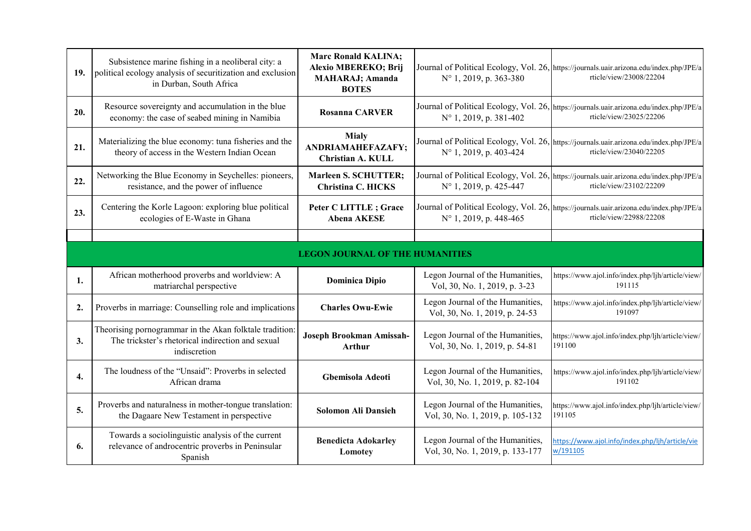| 19. | Subsistence marine fishing in a neoliberal city: a<br>political ecology analysis of securitization and exclusion<br>in Durban, South Africa | <b>Marc Ronald KALINA;</b><br>Alexio MBEREKO; Brij<br><b>MAHARAJ</b> ; Amanda<br><b>BOTES</b> | $N^{\circ}$ 1, 2019, p. 363-380                                      | Journal of Political Ecology, Vol. 26, https://journals.uair.arizona.edu/index.php/JPE/a<br>rticle/view/23008/22204 |  |
|-----|---------------------------------------------------------------------------------------------------------------------------------------------|-----------------------------------------------------------------------------------------------|----------------------------------------------------------------------|---------------------------------------------------------------------------------------------------------------------|--|
| 20. | Resource sovereignty and accumulation in the blue<br>economy: the case of seabed mining in Namibia                                          | <b>Rosanna CARVER</b>                                                                         | N° 1, 2019, p. 381-402                                               | Journal of Political Ecology, Vol. 26, https://journals.uair.arizona.edu/index.php/JPE/a<br>rticle/view/23025/22206 |  |
| 21. | Materializing the blue economy: tuna fisheries and the<br>theory of access in the Western Indian Ocean                                      | <b>Mialy</b><br>ANDRIAMAHEFAZAFY;<br><b>Christian A. KULL</b>                                 | N° 1, 2019, p. 403-424                                               | Journal of Political Ecology, Vol. 26, https://journals.uair.arizona.edu/index.php/JPE/a<br>rticle/view/23040/22205 |  |
| 22. | Networking the Blue Economy in Seychelles: pioneers,<br>resistance, and the power of influence                                              | Marleen S. SCHUTTER;<br><b>Christina C. HICKS</b>                                             | N° 1, 2019, p. 425-447                                               | Journal of Political Ecology, Vol. 26, https://journals.uair.arizona.edu/index.php/JPE/a<br>rticle/view/23102/22209 |  |
| 23. | Centering the Korle Lagoon: exploring blue political<br>ecologies of E-Waste in Ghana                                                       | Peter C LITTLE ; Grace<br><b>Abena AKESE</b>                                                  | N° 1, 2019, p. 448-465                                               | Journal of Political Ecology, Vol. 26, https://journals.uair.arizona.edu/index.php/JPE/a<br>rticle/view/22988/22208 |  |
|     |                                                                                                                                             |                                                                                               |                                                                      |                                                                                                                     |  |
|     | <b>LEGON JOURNAL OF THE HUMANITIES</b>                                                                                                      |                                                                                               |                                                                      |                                                                                                                     |  |
| 1.  | African motherhood proverbs and worldview: A<br>matriarchal perspective                                                                     | <b>Dominica Dipio</b>                                                                         | Legon Journal of the Humanities,<br>Vol, 30, No. 1, 2019, p. 3-23    | https://www.ajol.info/index.php/ljh/article/view/<br>191115                                                         |  |
| 2.  | Proverbs in marriage: Counselling role and implications                                                                                     | <b>Charles Owu-Ewie</b>                                                                       | Legon Journal of the Humanities,<br>Vol, 30, No. 1, 2019, p. 24-53   | https://www.ajol.info/index.php/ljh/article/view/<br>191097                                                         |  |
| 3.  | Theorising pornogrammar in the Akan folktale tradition:<br>The trickster's rhetorical indirection and sexual<br>indiscretion                | Joseph Brookman Amissah-<br><b>Arthur</b>                                                     | Legon Journal of the Humanities,<br>Vol, 30, No. 1, 2019, p. 54-81   | https://www.ajol.info/index.php/ljh/article/view/<br>191100                                                         |  |
| 4.  | The loudness of the "Unsaid": Proverbs in selected<br>African drama                                                                         | Gbemisola Adeoti                                                                              | Legon Journal of the Humanities,<br>Vol, 30, No. 1, 2019, p. 82-104  | https://www.ajol.info/index.php/ljh/article/view/<br>191102                                                         |  |
| 5.  | Proverbs and naturalness in mother-tongue translation:<br>the Dagaare New Testament in perspective                                          | <b>Solomon Ali Dansieh</b>                                                                    | Legon Journal of the Humanities,<br>Vol, 30, No. 1, 2019, p. 105-132 | https://www.ajol.info/index.php/ljh/article/view/<br>191105                                                         |  |
| 6.  | Towards a sociolinguistic analysis of the current<br>relevance of androcentric proverbs in Peninsular<br>Spanish                            | <b>Benedicta Adokarley</b><br>Lomotey                                                         | Legon Journal of the Humanities,<br>Vol, 30, No. 1, 2019, p. 133-177 | https://www.ajol.info/index.php/ljh/article/vie<br>w/191105                                                         |  |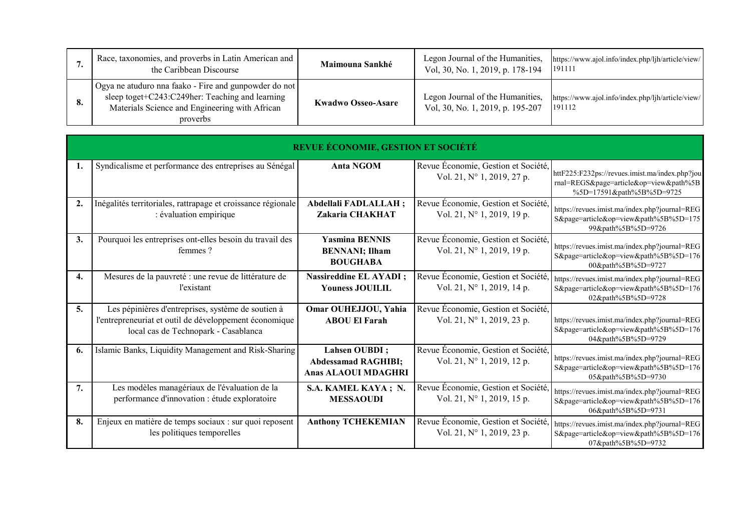|    | Race, taxonomies, and proverbs in Latin American and<br>the Caribbean Discourse                                                                                        | Maimouna Sankhé           | Legon Journal of the Humanities,<br>Vol, 30, No. 1, 2019, p. 178-194 | https://www.ajol.info/index.php/ljh/article/view/<br>191111 |
|----|------------------------------------------------------------------------------------------------------------------------------------------------------------------------|---------------------------|----------------------------------------------------------------------|-------------------------------------------------------------|
| 8. | Ogya ne atuduro nna faako - Fire and gunpowder do not<br>sleep toget+C243:C249her: Teaching and learning<br>Materials Science and Engineering with African<br>proverbs | <b>Kwadwo Osseo-Asare</b> | Legon Journal of the Humanities,<br>Vol, 30, No. 1, 2019, p. 195-207 | https://www.ajol.info/index.php/ljh/article/view/<br>191112 |

|                  | REVUE ÉCONOMIE, GESTION ET SOCIÉTÉ                                                                                                                   |                                                                           |                                                                            |                                                                                                                       |  |
|------------------|------------------------------------------------------------------------------------------------------------------------------------------------------|---------------------------------------------------------------------------|----------------------------------------------------------------------------|-----------------------------------------------------------------------------------------------------------------------|--|
| 1.               | Syndicalisme et performance des entreprises au Sénégal                                                                                               | <b>Anta NGOM</b>                                                          | Revue Économie, Gestion et Société,<br>Vol. 21, N° 1, 2019, 27 p.          | httF225:F232ps://revues.imist.ma/index.php?jou<br>rnal=REGS&page=article&op=view&path%5B<br>%5D=17591&path%5B%5D=9725 |  |
| $\overline{2}$ . | Inégalités territoriales, rattrapage et croissance régionale<br>: évaluation empirique                                                               | Abdellali FADLALLAH;<br>Zakaria CHAKHAT                                   | Revue Économie, Gestion et Société,<br>Vol. 21, N° 1, 2019, 19 p.          | https://revues.imist.ma/index.php?journal=REG<br>S&page=article&op=view&path%5B%5D=175<br>99&path%5B%5D=9726          |  |
| 3.               | Pourquoi les entreprises ont-elles besoin du travail des<br>femmes?                                                                                  | <b>Yasmina BENNIS</b><br><b>BENNANI</b> ; Ilham<br><b>BOUGHABA</b>        | Revue Économie, Gestion et Société,<br>Vol. 21, N° 1, 2019, 19 p.          | https://revues.imist.ma/index.php?journal=REG<br>S&page=article&op=view&path%5B%5D=176<br>00&path%5B%5D=9727          |  |
| 4.               | Mesures de la pauvreté : une revue de littérature de<br><i>l'existant</i>                                                                            | <b>Nassireddine EL AYADI</b> ;<br><b>Youness JOUILIL</b>                  | Revue Économie, Gestion et Société,<br>Vol. 21, N° 1, 2019, 14 p.          | https://revues.imist.ma/index.php?journal=REG<br>S&page=article&op=view&path%5B%5D=176<br>02&path%5B%5D=9728          |  |
| 5.               | Les pépinières d'entreprises, système de soutien à<br>l'entrepreneuriat et outil de développement économique<br>local cas de Technopark - Casablanca | Omar OUHEJJOU, Yahia<br><b>ABOU El Farah</b>                              | Revue Économie, Gestion et Société,<br>Vol. 21, $N^{\circ}$ 1, 2019, 23 p. | https://revues.imist.ma/index.php?journal=REG<br>S&page=article&op=view&path%5B%5D=176<br>04&path%5B%5D=9729          |  |
| 6.               | Islamic Banks, Liquidity Management and Risk-Sharing                                                                                                 | Lahsen OUBDI;<br><b>Abdessamad RAGHIBI;</b><br><b>Anas ALAOUI MDAGHRI</b> | Revue Économie, Gestion et Société,<br>Vol. 21, $N^{\circ}$ 1, 2019, 12 p. | https://revues.imist.ma/index.php?journal=REG<br>S&page=article&op=view&path%5B%5D=176<br>05&path%5B%5D=9730          |  |
| 7.               | Les modèles managériaux de l'évaluation de la<br>performance d'innovation : étude exploratoire                                                       | S.A. KAMEL KAYA; N.<br><b>MESSAQUDI</b>                                   | Revue Économie, Gestion et Société,<br>Vol. 21, N° 1, 2019, 15 p.          | https://revues.imist.ma/index.php?journal=REG<br>S&page=article&op=view&path%5B%5D=176<br>06&path%5B%5D=9731          |  |
| 8.               | Enjeux en matière de temps sociaux : sur quoi reposent<br>les politiques temporelles                                                                 | <b>Anthony TCHEKEMIAN</b>                                                 | Revue Économie, Gestion et Société,<br>Vol. 21, N° 1, 2019, 23 p.          | https://revues.imist.ma/index.php?journal=REG<br>S&page=article&op=view&path%5B%5D=176<br>07&path%5B%5D=9732          |  |